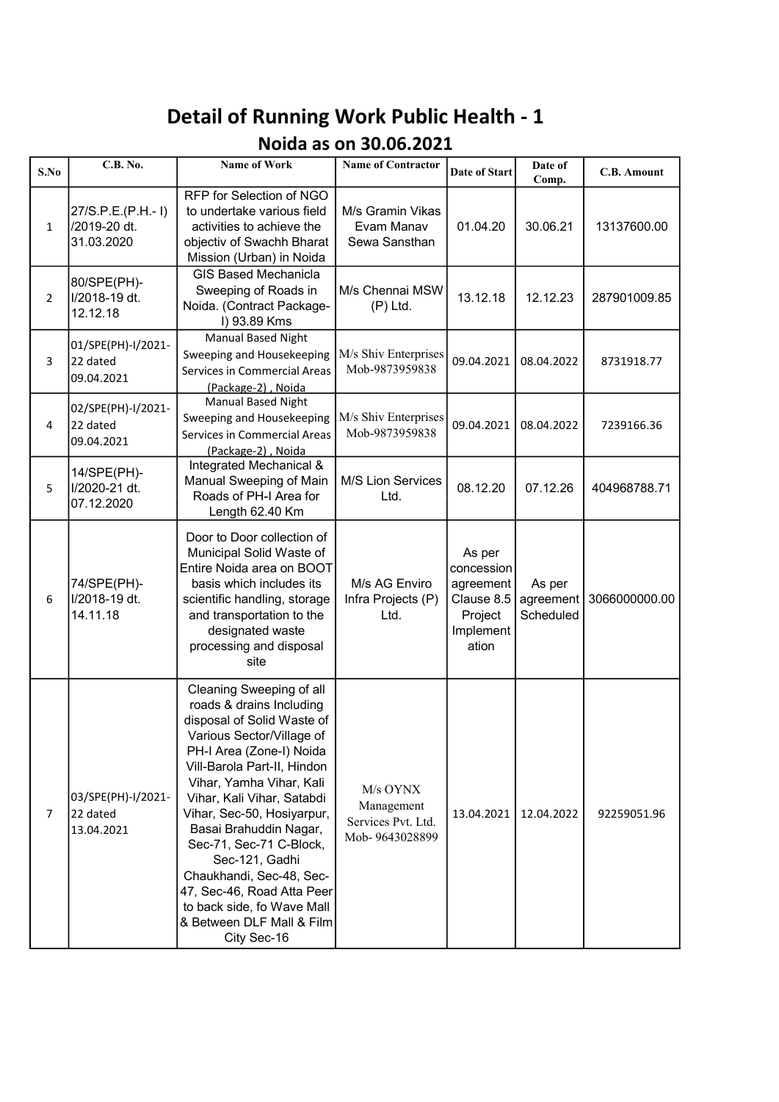## Detail of Running Work Public Health - 1

## Noida as on 30.06.2021

| S.No           | <b>C.B. No.</b>                                 | Name of Work                                                                                                                                                                                                                                                                                                                                                                                                                                                                  | <b>Name of Contractor</b>                                      | Date of Start                                                                    | Date of<br>Comp.                 | <b>C.B.</b> Amount |
|----------------|-------------------------------------------------|-------------------------------------------------------------------------------------------------------------------------------------------------------------------------------------------------------------------------------------------------------------------------------------------------------------------------------------------------------------------------------------------------------------------------------------------------------------------------------|----------------------------------------------------------------|----------------------------------------------------------------------------------|----------------------------------|--------------------|
| $\mathbf{1}$   | 27/S.P.E.(P.H.-1)<br>/2019-20 dt.<br>31.03.2020 | RFP for Selection of NGO<br>to undertake various field<br>activities to achieve the<br>objectiv of Swachh Bharat<br>Mission (Urban) in Noida                                                                                                                                                                                                                                                                                                                                  | M/s Gramin Vikas<br>Evam Manav<br>Sewa Sansthan                | 01.04.20                                                                         | 30.06.21                         | 13137600.00        |
| $\overline{2}$ | 80/SPE(PH)-<br>I/2018-19 dt.<br>12.12.18        | <b>GIS Based Mechanicla</b><br>Sweeping of Roads in<br>Noida. (Contract Package-<br>I) 93.89 Kms                                                                                                                                                                                                                                                                                                                                                                              | M/s Chennai MSW<br>$(P)$ Ltd.                                  | 13.12.18                                                                         | 12.12.23                         | 287901009.85       |
| 3              | 01/SPE(PH)-I/2021-<br>22 dated<br>09.04.2021    | Manual Based Night<br>Sweeping and Housekeeping<br>Services in Commercial Areas<br>(Package-2), Noida                                                                                                                                                                                                                                                                                                                                                                         | M/s Shiv Enterprises<br>Mob-9873959838                         | 09.04.2021                                                                       | 08.04.2022                       | 8731918.77         |
| 4              | 02/SPE(PH)-I/2021-<br>22 dated<br>09.04.2021    | <b>Manual Based Night</b><br>Sweeping and Housekeeping<br>Services in Commercial Areas<br>(Package-2), Noida                                                                                                                                                                                                                                                                                                                                                                  | M/s Shiv Enterprises<br>Mob-9873959838                         | 09.04.2021                                                                       | 08.04.2022                       | 7239166.36         |
| 5              | 14/SPE(PH)-<br>I/2020-21 dt.<br>07.12.2020      | Integrated Mechanical &<br>Manual Sweeping of Main<br>Roads of PH-I Area for<br>Length 62.40 Km                                                                                                                                                                                                                                                                                                                                                                               | <b>M/S Lion Services</b><br>Ltd.                               | 08.12.20                                                                         | 07.12.26                         | 404968788.71       |
| 6              | 74/SPE(PH)-<br>I/2018-19 dt.<br>14.11.18        | Door to Door collection of<br>Municipal Solid Waste of<br>Entire Noida area on BOOT<br>basis which includes its<br>scientific handling, storage<br>and transportation to the<br>designated waste<br>processing and disposal<br>site                                                                                                                                                                                                                                           | M/s AG Enviro<br>Infra Projects (P)<br>Ltd.                    | As per<br>concession<br>agreement<br>Clause 8.5<br>Project<br>Implement<br>ation | As per<br>agreement<br>Scheduled | 3066000000.00      |
| 7              | 03/SPE(PH)-I/2021-<br>22 dated<br>13.04.2021    | Cleaning Sweeping of all<br>roads & drains Including<br>disposal of Solid Waste of<br>Various Sector/Village of<br>PH-I Area (Zone-I) Noida<br>Vill-Barola Part-II, Hindon<br>Vihar, Yamha Vihar, Kali<br>Vihar, Kali Vihar, Satabdi<br>Vihar, Sec-50, Hosiyarpur,<br>Basai Brahuddin Nagar,<br>Sec-71, Sec-71 C-Block,<br>Sec-121, Gadhi<br>Chaukhandi, Sec-48, Sec-<br>47, Sec-46, Road Atta Peer<br>to back side, fo Wave Mall<br>& Between DLF Mall & Film<br>City Sec-16 | M/s OYNX<br>Management<br>Services Pvt. Ltd.<br>Mob-9643028899 | 13.04.2021                                                                       | 12.04.2022                       | 92259051.96        |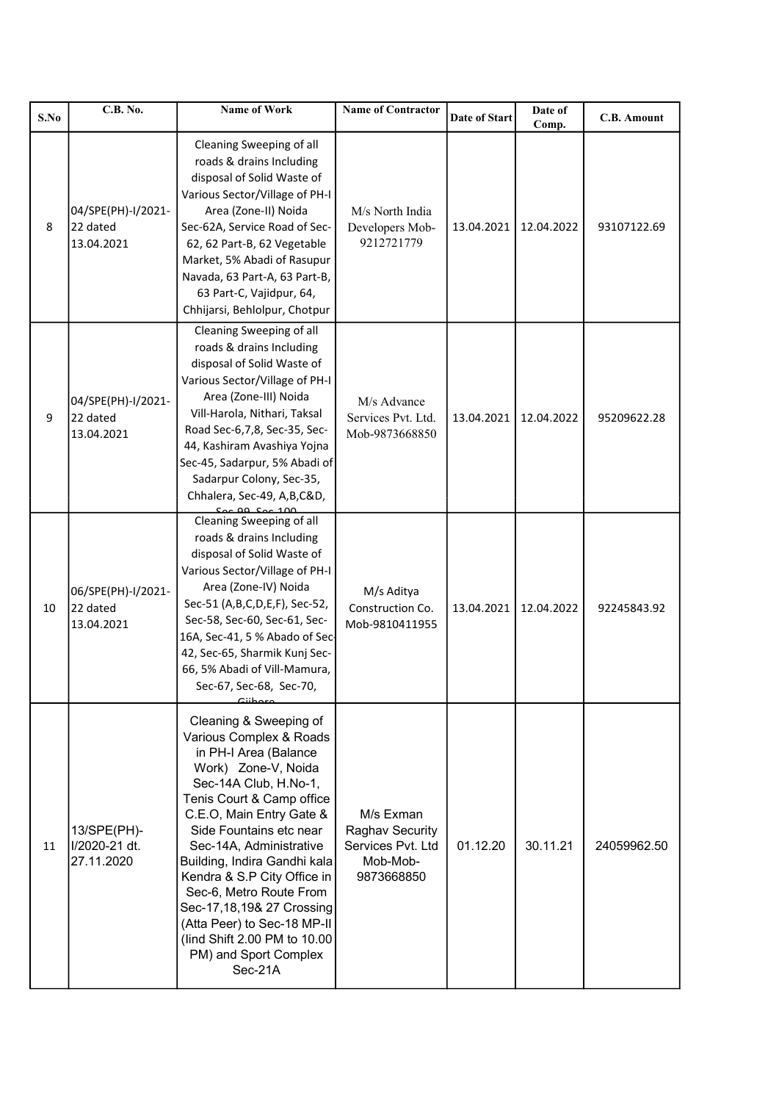| S.No | <b>C.B. No.</b>                              | Name of Work                                                                                                                                                                                                                                                                                                                                                                                                                                                          | <b>Name of Contractor</b>                                                          | Date of Start | Date of<br>Comp. | <b>C.B.</b> Amount |
|------|----------------------------------------------|-----------------------------------------------------------------------------------------------------------------------------------------------------------------------------------------------------------------------------------------------------------------------------------------------------------------------------------------------------------------------------------------------------------------------------------------------------------------------|------------------------------------------------------------------------------------|---------------|------------------|--------------------|
| 8    | 04/SPE(PH)-I/2021-<br>22 dated<br>13.04.2021 | Cleaning Sweeping of all<br>roads & drains Including<br>disposal of Solid Waste of<br>Various Sector/Village of PH-I<br>Area (Zone-II) Noida<br>Sec-62A, Service Road of Sec-<br>62, 62 Part-B, 62 Vegetable<br>Market, 5% Abadi of Rasupur<br>Navada, 63 Part-A, 63 Part-B,<br>63 Part-C, Vajidpur, 64,<br>Chhijarsi, Behlolpur, Chotpur                                                                                                                             | M/s North India<br>Developers Mob-<br>9212721779                                   | 13.04.2021    | 12.04.2022       | 93107122.69        |
| 9    | 04/SPE(PH)-I/2021-<br>22 dated<br>13.04.2021 | Cleaning Sweeping of all<br>roads & drains Including<br>disposal of Solid Waste of<br>Various Sector/Village of PH-I<br>Area (Zone-III) Noida<br>Vill-Harola, Nithari, Taksal<br>Road Sec-6,7,8, Sec-35, Sec-<br>44, Kashiram Avashiya Yojna<br>Sec-45, Sadarpur, 5% Abadi of<br>Sadarpur Colony, Sec-35,<br>Chhalera, Sec-49, A,B,C&D,                                                                                                                               | M/s Advance<br>Services Pvt. Ltd.<br>Mob-9873668850                                | 13.04.2021    | 12.04.2022       | 95209622.28        |
| 10   | 06/SPE(PH)-I/2021-<br>22 dated<br>13.04.2021 | Cleaning Sweeping of all<br>roads & drains Including<br>disposal of Solid Waste of<br>Various Sector/Village of PH-I<br>Area (Zone-IV) Noida<br>Sec-51 (A,B,C,D,E,F), Sec-52,<br>Sec-58, Sec-60, Sec-61, Sec-<br>16A, Sec-41, 5 % Abado of Sec-<br>42, Sec-65, Sharmik Kunj Sec-<br>66, 5% Abadi of Vill-Mamura,<br>Sec-67, Sec-68, Sec-70,<br>حتمطنتك                                                                                                                | M/s Aditya<br>Construction Co.<br>Mob-9810411955                                   | 13.04.2021    | 12.04.2022       | 92245843.92        |
| 11   | 13/SPE(PH)-<br>I/2020-21 dt.<br>27.11.2020   | Cleaning & Sweeping of<br>Various Complex & Roads<br>in PH-I Area (Balance<br>Work) Zone-V, Noida<br>Sec-14A Club, H.No-1,<br>Tenis Court & Camp office<br>C.E.O, Main Entry Gate &<br>Side Fountains etc near<br>Sec-14A, Administrative<br>Building, Indira Gandhi kala<br>Kendra & S.P City Office in<br>Sec-6, Metro Route From<br>Sec-17, 18, 19& 27 Crossing<br>(Atta Peer) to Sec-18 MP-II<br>(lind Shift 2.00 PM to 10.00<br>PM) and Sport Complex<br>Sec-21A | M/s Exman<br><b>Raghav Security</b><br>Services Pvt. Ltd<br>Mob-Mob-<br>9873668850 | 01.12.20      | 30.11.21         | 24059962.50        |